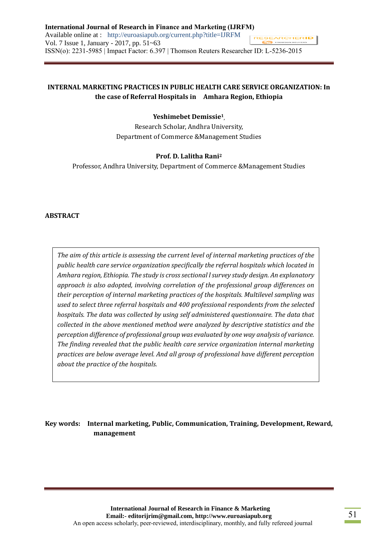## **INTERNAL MARKETING PRACTICES IN PUBLIC HEALTH CARE SERVICE ORGANIZATION: In the case of Referral Hospitals in Amhara Region, Ethiopia**

### **Yeshimebet Demissie<sup>1</sup> ,**

Research Scholar, Andhra University, Department of Commerce &Management Studies

### **Prof. D. Lalitha Rani<sup>2</sup>**

Professor, Andhra University, Department of Commerce &Management Studies

#### **ABSTRACT**

*The aim of this article is assessing the current level of internal marketing practices of the public health care service organization specifically the referral hospitals which located in Amhara region, Ethiopia. The study is cross sectional l survey study design. An explanatory approach is also adopted, involving correlation of the professional group differences on their perception of internal marketing practices of the hospitals. Multilevel sampling was used to select three referral hospitals and 400 professional respondents from the selected hospitals. The data was collected by using self administered questionnaire. The data that collected in the above mentioned method were analyzed by descriptive statistics and the perception difference of professional group was evaluated by one way analysis of variance. The finding revealed that the public health care service organization internal marketing practices are below average level. And all group of professional have different perception about the practice of the hospitals.*

# **Key words: Internal marketing, Public, Communication, Training, Development, Reward, management**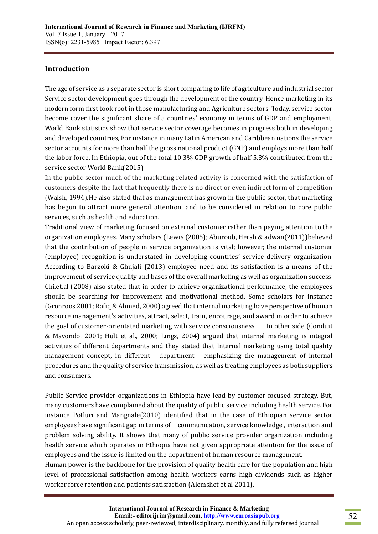## **Introduction**

The age of service as a separate sector is short comparing to life of agriculture and industrial sector. Service sector development goes through the development of the country. Hence marketing in its modern form first took root in those manufacturing and Agriculture sectors. Today, service sector become cover the significant share of a countries' economy in terms of GDP and employment. World Bank statistics show that service sector coverage becomes in progress both in developing and developed countries, For instance in many Latin American and Caribbean nations the service sector accounts for more than half the gross national product (GNP) and employs more than half the labor force. In Ethiopia, out of the total 10.3% GDP growth of half 5.3% contributed from the service sector World Bank(2015).

In the public sector much of the marketing related activity is concerned with the satisfaction of customers despite the fact that frequently there is no direct or even indirect form of competition (Walsh, 1994).He also stated that as management has grown in the public sector, that marketing has begun to attract more general attention, and to be considered in relation to core public services, such as health and education.

Traditional view of marketing focused on external customer rather than paying attention to the organization employees. Many scholars (Lewis (2005); Aburoub, Hersh & adwan(2011))believed that the contribution of people in service organization is vital; however, the internal customer (employee) recognition is understated in developing countries' service delivery organization. According to Barzoki & Ghujali **(**2013) employee need and its satisfaction is a means of the improvement of service quality and bases of the overall marketing as well as organization success. Chi.et.al (2008) also stated that in order to achieve organizational performance, the employees should be searching for improvement and motivational method. Some scholars for instance (Gronroos,2001; Rafiq & Ahmed, 2000) agreed that internal marketing have perspective of human resource management's activities, attract, select, train, encourage, and award in order to achieve the goal of customer-orientated marketing with service consciousness. In other side (Conduit & Mavondo, 2001; Hult et al., 2000; Lings, 2004) argued that internal marketing is integral activities of different departments and they stated that Internal marketing using total quality management concept, in different department emphasizing the management of internal procedures and the quality of service transmission, as well as treating employees as both suppliers and consumers.

Public Service provider organizations in Ethiopia have lead by customer focused strategy. But, many customers have complained about the quality of public service including health service. For instance Potluri and Mangnale(2010) identified that in the case of Ethiopian service sector employees have significant gap in terms of communication, service knowledge, interaction and problem solving ability. It shows that many of public service provider organization including health service which operates in Ethiopia have not given appropriate attention for the issue of employees and the issue is limited on the department of human resource management. Human power is the backbone for the provision of quality health care for the population and high level of professional satisfaction among health workers earns high dividends such as higher

worker force retention and patients satisfaction (Alemshet et.al 2011).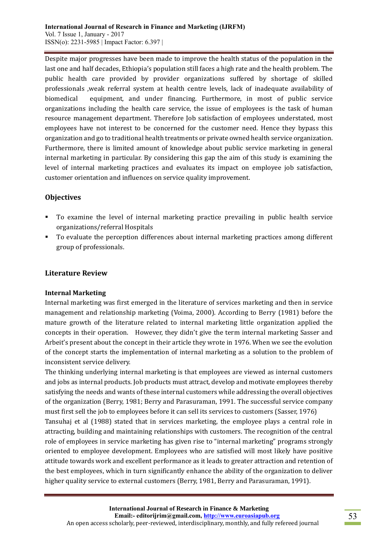Despite major progresses have been made to improve the health status of the population in the last one and half decades, Ethiopia's population still faces a high rate and the health problem. The public health care provided by provider organizations suffered by shortage of skilled professionals ,weak referral system at health centre levels, lack of inadequate availability of biomedical equipment, and under financing. Furthermore, in most of public service organizations including the health care service, the issue of employees is the task of human resource management department. Therefore Job satisfaction of employees understated, most employees have not interest to be concerned for the customer need. Hence they bypass this organization and go to traditional health treatments or private owned health service organization. Furthermore, there is limited amount of knowledge about public service marketing in general internal marketing in particular. By considering this gap the aim of this study is examining the level of internal marketing practices and evaluates its impact on employee job satisfaction, customer orientation and influences on service quality improvement.

## **Objectives**

- To examine the level of internal marketing practice prevailing in public health service organizations/referral Hospitals
- To evaluate the perception differences about internal marketing practices among different group of professionals.

## **Literature Review**

## **Internal Marketing**

Internal marketing was first emerged in the literature of services marketing and then in service management and relationship marketing (Voima, 2000). According to Berry (1981) before the mature growth of the literature related to internal marketing little organization applied the concepts in their operation. However, they didn't give the term internal marketing Sasser and Arbeit's present about the concept in their article they wrote in 1976. When we see the evolution of the concept starts the implementation of internal marketing as a solution to the problem of inconsistent service delivery.

The thinking underlying internal marketing is that employees are viewed as internal customers and jobs as internal products. Job products must attract, develop and motivate employees thereby satisfying the needs and wants of these internal customers while addressing the overall objectives of the organization (Berry, 1981; Berry and Parasuraman, 1991. The successful service company must first sell the job to employees before it can sell its services to customers (Sasser, 1976)

Tansuhaj et al (1988) stated that in services marketing, the employee plays a central role in attracting, building and maintaining relationships with customers. The recognition of the central role of employees in service marketing has given rise to "internal marketing" programs strongly oriented to employee development. Employees who are satisfied will most likely have positive attitude towards work and excellent performance as it leads to greater attraction and retention of the best employees, which in turn significantly enhance the ability of the organization to deliver higher quality service to external customers (Berry, 1981, Berry and Parasuraman, 1991).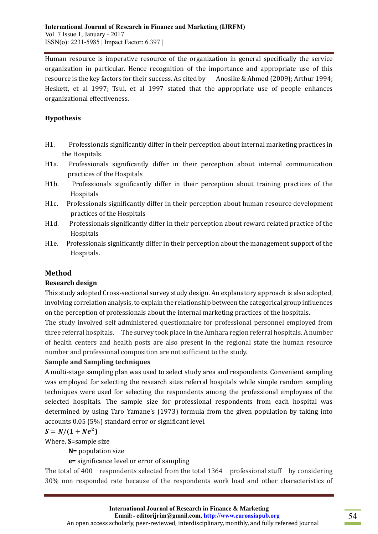Human resource is imperative resource of the organization in general specifically the service organization in particular. Hence recognition of the importance and appropriate use of this resource is the key factors for their success. As cited by Anosike & Ahmed (2009); Arthur 1994; Heskett, et al 1997; Tsui, et al 1997 stated that the appropriate use of people enhances organizational effectiveness.

### **Hypothesis**

- H1. Professionals significantly differ in their perception about internal marketing practices in the Hospitals.
- H1a. Professionals significantly differ in their perception about internal communication practices of the Hospitals
- H1b. Professionals significantly differ in their perception about training practices of the Hospitals
- H1c. Professionals significantly differ in their perception about human resource development practices of the Hospitals
- H1d. Professionals significantly differ in their perception about reward related practice of the Hospitals
- H1e. Professionals significantly differ in their perception about the management support of the Hospitals.

## **Method**

### **Research design**

This study adopted Cross-sectional survey study design. An explanatory approach is also adopted, involving correlation analysis, to explain the relationship between the categorical group influences on the perception of professionals about the internal marketing practices of the hospitals.

The study involved self administered questionnaire for professional personnel employed from three referral hospitals. The survey took place in the Amhara region referral hospitals. A number of health centers and health posts are also present in the regional state the human resource number and professional composition are not sufficient to the study.

## **Sample and Sampling techniques**

A multi-stage sampling plan was used to select study area and respondents. Convenient sampling was employed for selecting the research sites referral hospitals while simple random sampling techniques were used for selecting the respondents among the professional employees of the selected hospitals. The sample size for professional respondents from each hospital was determined by using Taro Yamane's (1973) formula from the given population by taking into accounts 0.05 (5%) standard error or significant level.

## $S = N/(1 + Ne^2)$

Where, **S**=sample size

**N**= population size

## **e**= significance level or error of sampling

The total of 400 respondents selected from the total 1364 professional stuff by considering 30% non responded rate because of the respondents work load and other characteristics of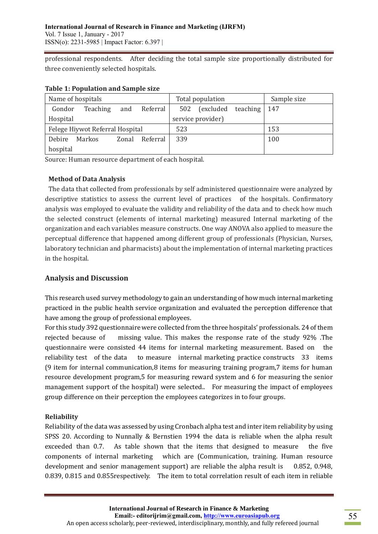professional respondents. After deciding the total sample size proportionally distributed for three conveniently selected hospitals.

| Name of hospitals               |          |     | Total population |     |                   | Sample size |     |
|---------------------------------|----------|-----|------------------|-----|-------------------|-------------|-----|
| Gondor                          | Teaching | and | Referral         | 502 | (excluded         | teaching    | 147 |
| Hospital                        |          |     |                  |     | service provider) |             |     |
| Felege Hiywot Referral Hospital |          |     | 523              |     |                   | 153         |     |
| Debire                          | Markos   |     | Zonal Referral   | 339 |                   |             | 100 |
| hospital                        |          |     |                  |     |                   |             |     |

### **Table 1: Population and Sample size**

Source: Human resource department of each hospital.

### **Method of Data Analysis**

The data that collected from professionals by self administered questionnaire were analyzed by descriptive statistics to assess the current level of practices of the hospitals. Confirmatory analysis was employed to evaluate the validity and reliability of the data and to check how much the selected construct (elements of internal marketing) measured Internal marketing of the organization and each variables measure constructs. One way ANOVA also applied to measure the perceptual difference that happened among different group of professionals (Physician, Nurses, laboratory technician and pharmacists) about the implementation of internal marketing practices in the hospital.

## **Analysis and Discussion**

This research used survey methodology to gain an understanding of how much internal marketing practiced in the public health service organization and evaluated the perception difference that have among the group of professional employees.

For this study 392 questionnaire were collected from the three hospitals' professionals. 24 of them rejected because of missing value. This makes the response rate of the study 92% .The questionnaire were consisted 44 items for internal marketing measurement. Based on the reliability test of the data to measure internal marketing practice constructs 33 items (9 item for internal communication,8 items for measuring training program,7 items for human resource development program,5 for measuring reward system and 6 for measuring the senior management support of the hospital) were selected.. For measuring the impact of employees group difference on their perception the employees categorizes in to four groups.

## **Reliability**

Reliability of the data was assessed by using Cronbach alpha test and inter item reliability by using SPSS 20. According to Nunnally & Bernstien 1994 the data is reliable when the alpha result exceeded than 0.7. As table shown that the items that designed to measure the five components of internal marketing which are (Communication, training. Human resource development and senior management support) are reliable the alpha result is 0.852, 0.948, 0.839, 0.815 and 0.855respectively. The item to total correlation result of each item in reliable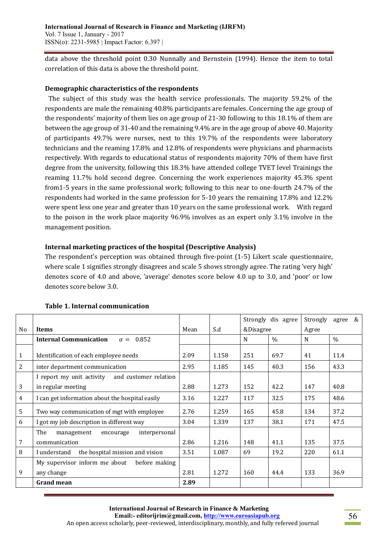data above the threshold point 0.30 Nunnally and Bernstein (1994). Hence the item to total correlation of this data is above the threshold point.

### **Demographic characteristics of the respondents**

The subject of this study was the health service professionals. The majority 59.2% of the respondents are male the remaining 40.8% participants are females. Concerning the age group of the respondents' majority of them lies on age group of 21-30 following to this 18.1% of them are between the age group of 31-40 and the remaining 9.4% are in the age group of above 40. Majority of participants 49.7% were nurses, next to this 19.7% of the respondents were laboratory technicians and the reaming 17.8% and 12.8% of respondents were physicians and pharmacists respectively. With regards to educational status of respondents majority 70% of them have first degree from the university, following this 18.3% have attended college TVET level Trainings the reaming 11.7% hold second degree. Concerning the work experiences majority 45.3% spent from1-5 years in the same professional work; following to this near to one-fourth 24.7% of the respondents had worked in the same profession for 5-10 years the remaining 17.8% and 12.2% were spent less one year and greater than 10 years on the same professional work. With regard to the poison in the work place majority 96.9% involves as an expert only 3.1% involve in the management position.

## **Internal marketing practices of the hospital (Descriptive Analysis)**

The respondent's perception was obtained through five-point (1-5) Likert scale questionnaire, where scale 1 signifies strongly disagrees and scale 5 shows strongly agree. The rating 'very high' denotes score of 4.0 and above, 'average' denotes score below 4.0 up to 3.0, and 'poor' or low denotes score below 3.0.

|    |                                                      |      |       | Strongly dis agree |               | Strongly | &<br>agree    |
|----|------------------------------------------------------|------|-------|--------------------|---------------|----------|---------------|
| No | <b>Items</b>                                         | Mean | S.d   |                    | &Disagree     |          |               |
|    | <b>Internal Communication</b><br>0.852<br>$\alpha =$ |      |       | N                  | $\frac{0}{0}$ | N        | $\frac{0}{0}$ |
| 1  | Identification of each employee needs                | 2.09 | 1.158 | 251                | 69.7          | 41       | 11.4          |
| 2  | inter department communication                       | 2.95 | 1.185 | 145                | 40.3          | 156      | 43.3          |
|    | I report my unit activity<br>and customer relation   |      |       |                    |               |          |               |
| 3  | in regular meeting                                   | 2.88 | 1.273 | 152                | 42.2          | 147      | 40.8          |
| 4  | I can get information about the hospital easily      | 3.16 | 1.227 | 117                | 32.5          | 175      | 48.6          |
| 5  | Two way communication of mgt with employee           | 2.76 | 1.259 | 165                | 45.8          | 134      | 37.2          |
| 6  | I got my job description in different way            | 3.04 | 1.339 | 137                | 38.1          | 171      | 47.5          |
|    | The<br>management<br>interpersonal<br>encourage      |      |       |                    |               |          |               |
| 7  | communication                                        | 2.86 | 1.216 | 148                | 41.1          | 135      | 37.5          |
| 8  | the hospital mission and vision<br>I understand      | 3.51 | 1.087 | 69                 | 19.2          | 220      | 61.1          |
|    | My supervisor inform me about<br>before making       |      |       |                    |               |          |               |
| 9  | any change                                           | 2.81 | 1.272 | 160                | 44.4          | 133      | 36.9          |
|    | <b>Grand mean</b>                                    | 2.89 |       |                    |               |          |               |

### **Table 1. Internal communication**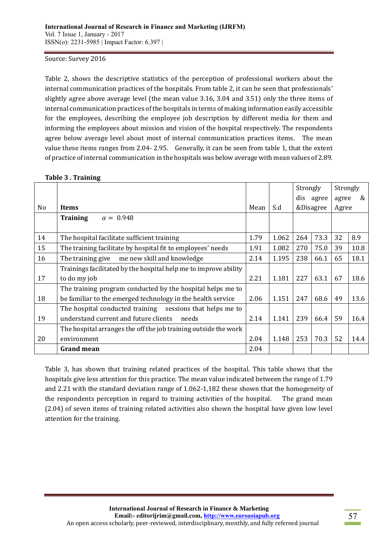#### Source: Survey 2016

Table 2, shows the descriptive statistics of the perception of professional workers about the internal communication practices of the hospitals. From table 2, it can be seen that professionals' slightly agree above average level (the mean value 3.16, 3.04 and 3.51) only the three items of internal communication practices of the hospitals in terms of making information easily accessible for the employees, describing the employee job description by different media for them and informing the employees about mission and vision of the hospital respectively. The respondents agree below average level about most of internal communication practices items. The mean value these items ranges from 2.04- 2.95. Generally, it can be seen from table 1, that the extent of practice of internal communication in the hospitals was below average with mean values of 2.89.

|    |                                                                  |      |       | Strongly |           | Strongly |      |
|----|------------------------------------------------------------------|------|-------|----------|-----------|----------|------|
|    |                                                                  |      |       |          | dis agree | agree    | &    |
| No | <b>Items</b>                                                     | Mean | S.d   |          | &Disagree | Agree    |      |
|    | $\alpha = 0.948$<br><b>Training</b>                              |      |       |          |           |          |      |
|    |                                                                  |      |       |          |           |          |      |
| 14 | The hospital facilitate sufficient training                      | 1.79 | 1.062 | 264      | 73.3      | 32       | 8.9  |
| 15 | The training facilitate by hospital fit to employees' needs      | 1.91 | 1.082 | 270      | 75.0      | 39       | 10.8 |
| 16 | The training give<br>me new skill and knowledge                  | 2.14 | 1.195 | 238      | 66.1      | 65       | 18.1 |
|    | Trainings facilitated by the hospital help me to improve ability |      |       |          |           |          |      |
| 17 | to do my job                                                     | 2.21 | 1.181 | 227      | 63.1      | 67       | 18.6 |
|    | The training program conducted by the hospital helps me to       |      |       |          |           |          |      |
| 18 | be familiar to the emerged technology in the health service      | 2.06 | 1.151 | 247      | 68.6      | 49       | 13.6 |
|    | The hospital conducted training sessions that helps me to        |      |       |          |           |          |      |
| 19 | understand current and future clients<br>needs                   | 2.14 | 1.141 | 239      | 66.4      | 59       | 16.4 |
|    | The hospital arranges the off the job training outside the work  |      |       |          |           |          |      |
| 20 | environment                                                      | 2.04 | 1.148 | 253      | 70.3      | 52       | 14.4 |
|    | <b>Grand mean</b>                                                | 2.04 |       |          |           |          |      |

#### **Table 3 . Training**

Table 3, has shown that training related practices of the hospital. This table shows that the hospitals give less attention for this practice. The mean value indicated between the range of 1.79 and 2.21 with the standard deviation range of 1.062-1,182 these shown that the homogeneity of the respondents perception in regard to training activities of the hospital. The grand mean (2.04) of seven items of training related activities also shown the hospital have given low level attention for the training.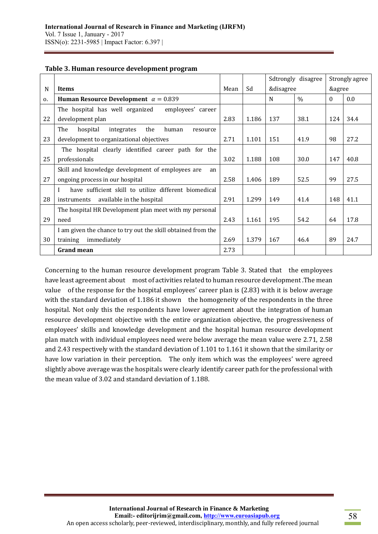|                |                                                              |      |       | Sdtrongly disagree |               | Strongly agree |      |
|----------------|--------------------------------------------------------------|------|-------|--------------------|---------------|----------------|------|
| N              | <b>Items</b>                                                 | Mean | Sd    | &disagree          |               | &agree         |      |
| $\mathbf{0}$ . | Human Resource Development $\alpha = 0.839$                  |      |       | N                  | $\frac{0}{0}$ | $\theta$       | 0.0  |
|                | The hospital has well organized<br>employees' career         |      |       |                    |               |                |      |
| 22             | development plan                                             | 2.83 | 1.186 | 137                | 38.1          | 124            | 34.4 |
|                | The<br>hospital<br>the<br>human<br>integrates<br>resource    |      |       |                    |               |                |      |
| 23             | development to organizational objectives                     | 2.71 | 1.101 | 151                | 41.9          | 98             | 27.2 |
|                | The hospital clearly identified career path for the          |      |       |                    |               |                |      |
| 25             | professionals                                                | 3.02 | 1.188 | 108                | 30.0          | 147            | 40.8 |
|                | Skill and knowledge development of employees are<br>an       |      |       |                    |               |                |      |
| 27             | ongoing process in our hospital                              | 2.58 | 1.406 | 189                | 52.5          | 99             | 27.5 |
|                | have sufficient skill to utilize different biomedical<br>I   |      |       |                    |               |                |      |
| 28             | available in the hospital<br>instruments                     | 2.91 | 1.299 | 149                | 41.4          | 148            | 41.1 |
|                | The hospital HR Development plan meet with my personal       |      |       |                    |               |                |      |
| 29             | need                                                         | 2.43 | 1.161 | 195                | 54.2          | 64             | 17.8 |
|                | I am given the chance to try out the skill obtained from the |      |       |                    |               |                |      |
| 30             | immediately<br>training                                      | 2.69 | 1.379 | 167                | 46.4          | 89             | 24.7 |
|                | <b>Grand mean</b>                                            | 2.73 |       |                    |               |                |      |

#### **Table 3. Human resource development program**

Concerning to the human resource development program Table 3. Stated that the employees have least agreement about most of activities related to human resource development. The mean value of the response for the hospital employees' career plan is (2.83) with it is below average with the standard deviation of 1.186 it shown the homogeneity of the respondents in the three hospital. Not only this the respondents have lower agreement about the integration of human resource development objective with the entire organization objective, the progressiveness of employees' skills and knowledge development and the hospital human resource development plan match with individual employees need were below average the mean value were 2.71, 2.58 and 2.43 respectively with the standard deviation of 1.101 to 1.161 it shown that the similarity or have low variation in their perception. The only item which was the employees' were agreed slightly above average was the hospitals were clearly identify career path for the professional with the mean value of 3.02 and standard deviation of 1.188.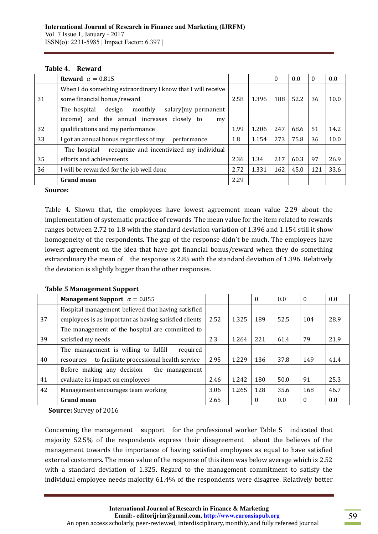|    | Reward $\alpha = 0.815$                                      |      |       | $\Omega$ | 0.0  | 0   | 0.0  |
|----|--------------------------------------------------------------|------|-------|----------|------|-----|------|
|    | When I do something extraordinary I know that I will receive |      |       |          |      |     |      |
| 31 | some financial bonus/reward                                  | 2.58 | 1.396 | 188      | 52.2 | 36  | 10.0 |
|    | monthly<br>salary(my permanent<br>The hospital<br>design     |      |       |          |      |     |      |
|    | income) and the annual increases closely to<br>my            |      |       |          |      |     |      |
| 32 | qualifications and my performance                            | 1.99 | 1.206 | 247      | 68.6 | 51  | 14.2 |
| 33 | I got an annual bonus regardless of my<br>performance        | 1.8  | 1.154 | 273      | 75.8 | 36  | 10.0 |
|    | recognize and incentivized my individual<br>The hospital     |      |       |          |      |     |      |
| 35 | efforts and achievements                                     | 2.36 | 1.34  | 217      | 60.3 | 97  | 26.9 |
| 36 | I will be rewarded for the job well done                     | 2.72 | 1.331 | 162      | 45.0 | 121 | 33.6 |
|    | <b>Grand mean</b>                                            | 2.29 |       |          |      |     |      |

#### **Source:**

Table 4. Shown that, the employees have lowest agreement mean value 2.29 about the implementation of systematic practice of rewards. The mean value for the item related to rewards ranges between 2.72 to 1.8 with the standard deviation variation of 1.396 and 1.154 still it show homogeneity of the respondents. The gap of the response didn't be much. The employees have lowest agreement on the idea that have got financial bonus/reward when they do something extraordinary the mean of the response is 2.85 with the standard deviation of 1.396. Relatively the deviation is slightly bigger than the other responses.

#### **Table 5 Management Support**

|    | Management Support $\alpha = 0.855$                    |      |       | $\theta$ | 0.0  | $\theta$ | 0.0  |
|----|--------------------------------------------------------|------|-------|----------|------|----------|------|
|    | Hospital management believed that having satisfied     |      |       |          |      |          |      |
| 37 | employees is as important as having satisfied clients  | 2.52 | 1.325 | 189      | 52.5 | 104      | 28.9 |
|    | The management of the hospital are committed to        |      |       |          |      |          |      |
| 39 | satisfied my needs                                     | 2.3  | 1.264 | 221      | 61.4 | 79       | 21.9 |
|    | The management is willing to fulfill<br>required       |      |       |          |      |          |      |
| 40 | to facilitate processional health service<br>resources | 2.95 | 1.229 | 136      | 37.8 | 149      | 41.4 |
|    | Before making any decision<br>the management           |      |       |          |      |          |      |
| 41 | evaluate its impact on employees                       | 2.46 | 1.242 | 180      | 50.0 | 91       | 25.3 |
| 42 | Management encourages team working                     | 3.06 | 1.265 | 128      | 35.6 | 168      | 46.7 |
|    | <b>Grand mean</b>                                      | 2.65 |       | $\theta$ | 0.0  | $\theta$ | 0.0  |

**Source:** Survey of 2016

Concerning the management **s**upport for the professional worker Table 5 indicated that majority 52.5% of the respondents express their disagreement about the believes of the management towards the importance of having satisfied employees as equal to have satisfied external customers. The mean value of the response of this item was below average which is 2.52 with a standard deviation of 1.325. Regard to the management commitment to satisfy the individual employee needs majority 61.4% of the respondents were disagree. Relatively better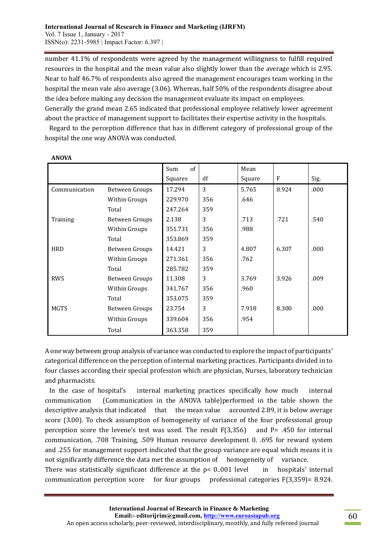number 41.1% of respondents were agreed by the management willingness to fulfill required resources in the hospital and the mean value also slightly lower than the average which is 2.95. Near to half 46.7% of respondents also agreed the management encourages team working in the hospital the mean vale also average (3.06). Whereas, half 50% of the respondents disagree about the idea before making any decision the management evaluate its impact on employees. Generally the grand mean 2.65 indicated that professional employee relatively lower agreement about the practice of management support to facilitates their expertise activity in the hospitals.

Regard to the perception difference that has in different category of professional group of the hospital the one way ANOVA was conducted.

|               |                | of<br>Sum |     | Mean   |       |      |
|---------------|----------------|-----------|-----|--------|-------|------|
|               |                | Squares   | df  | Square | F     | Sig. |
| Communication | Between Groups | 17.294    | 3   | 5.765  | 8.924 | .000 |
|               | Within Groups  | 229.970   | 356 | .646   |       |      |
|               | Total          | 247.264   | 359 |        |       |      |
| Training      | Between Groups | 2.138     | 3   | .713   | .721  | .540 |
|               | Within Groups  | 351.731   | 356 | .988   |       |      |
|               | Total          | 353.869   | 359 |        |       |      |
| <b>HRD</b>    | Between Groups | 14.421    | 3   | 4.807  | 6.307 | .000 |
|               | Within Groups  | 271.361   | 356 | .762   |       |      |
|               | Total          | 285.782   | 359 |        |       |      |
| <b>RWS</b>    | Between Groups | 11.308    | 3   | 3.769  | 3.926 | .009 |
|               | Within Groups  | 341.767   | 356 | .960   |       |      |
|               | Total          | 353.075   | 359 |        |       |      |
| <b>MGTS</b>   | Between Groups | 23.754    | 3   | 7.918  | 8.300 | .000 |
|               | Within Groups  | 339.604   | 356 | .954   |       |      |
|               | Total          | 363.358   | 359 |        |       |      |

**ANOVA**

A one way between group analysis of variance was conducted to explore the impact of participants' categorical difference on the perception of internal marketing practices. Participants divided in to four classes according their special profession which are physician, Nurses, laboratory technician and pharmacists.

In the case of hospital's internal marketing practices specifically how much internal communication (Communication in the ANOVA table)performed in the table shown the descriptive analysis that indicated that the mean value accounted 2.89, it is below average score (3.00). To check assumption of homogeneity of variance of the four professional group perception score the levene's test was used. The result F(3,356) and P= .450 for internal communication, .708 Training, .509 Human resource development 0. .695 for reward system and .255 for management support indicated that the group variance are equal which means it is not significantly difference the data met the assumption of homogeneity of variance. There was statistically significant difference at the  $p < 0.001$  level in hospitals' internal communication perception score for four groups professional categories F(3,359)= 8.924.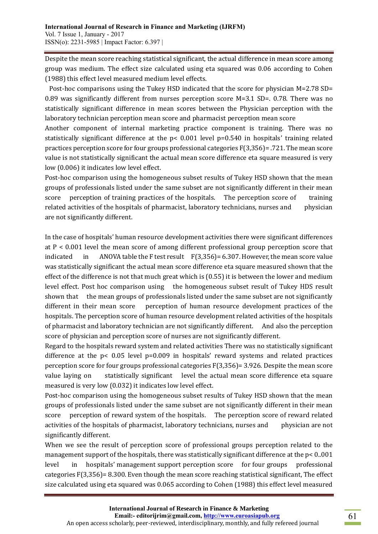Despite the mean score reaching statistical significant, the actual difference in mean score among group was medium. The effect size calculated using eta squared was 0.06 according to Cohen (1988) this effect level measured medium level effects.

Post-hoc comparisons using the Tukey HSD indicated that the score for physician M=2.78 SD= 0.89 was significantly different from nurses perception score M=3.1 SD=. 0.78. There was no statistically significant difference in mean scores between the Physician perception with the laboratory technician perception mean score and pharmacist perception mean score

Another component of internal marketing practice component is training. There was no statistically significant difference at the  $p< 0.001$  level  $p=0.540$  in hospitals' training related practices perception score for four groups professional categories F(3,356)= .721. The mean score value is not statistically significant the actual mean score difference eta square measured is very low (0.006) it indicates low level effect.

Post-hoc comparison using the homogeneous subset results of Tukey HSD shown that the mean groups of professionals listed under the same subset are not significantly different in their mean score perception of training practices of the hospitals. The perception score of training related activities of the hospitals of pharmacist, laboratory technicians, nurses and physician are not significantly different.

In the case of hospitals' human resource development activities there were significant differences at P < 0.001 level the mean score of among different professional group perception score that indicated in ANOVA table the F test result F(3,356) = 6.307. However, the mean score value was statistically significant the actual mean score difference eta square measured shown that the effect of the difference is not that much great which is (0.55) it is between the lower and medium level effect. Post hoc comparison using the homogeneous subset result of Tukey HDS result shown that the mean groups of professionals listed under the same subset are not significantly different in their mean score perception of human resource development practices of the hospitals. The perception score of human resource development related activities of the hospitals of pharmacist and laboratory technician are not significantly different. And also the perception score of physician and perception score of nurses are not significantly different.

Regard to the hospitals reward system and related activities There was no statistically significant difference at the p< 0.05 level p=0.009 in hospitals' reward systems and related practices perception score for four groups professional categories F(3,356)= 3.926. Despite the mean score value laying on statistically significant level the actual mean score difference eta square measured is very low (0.032) it indicates low level effect.

Post-hoc comparison using the homogeneous subset results of Tukey HSD shown that the mean groups of professionals listed under the same subset are not significantly different in their mean score perception of reward system of the hospitals. The perception score of reward related activities of the hospitals of pharmacist, laboratory technicians, nurses and physician are not significantly different.

When we see the result of perception score of professional groups perception related to the management support of the hospitals, there was statistically significant difference at the p< 0..001 level in hospitals' management support perception score for four groups professional categories F(3,356)= 8.300. Even though the mean score reaching statistical significant, The effect size calculated using eta squared was 0.065 according to Cohen (1988) this effect level measured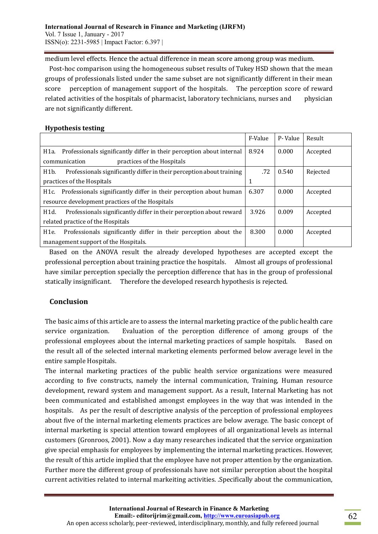medium level effects. Hence the actual difference in mean score among group was medium.

Post-hoc comparison using the homogeneous subset results of Tukey HSD shown that the mean groups of professionals listed under the same subset are not significantly different in their mean score perception of management support of the hospitals. The perception score of reward related activities of the hospitals of pharmacist, laboratory technicians, nurses and physician are not significantly different.

### **Hypothesis testing**

|                                                                                       | F-Value | P-Value | Result   |
|---------------------------------------------------------------------------------------|---------|---------|----------|
| Professionals significantly differ in their perception about internal<br>H1a.         | 8.924   | 0.000   | Accepted |
| practices of the Hospitals<br>communication                                           |         |         |          |
| Professionals significantly differ in their perception about training<br>H1b.         | .72     | 0.540   | Rejected |
| practices of the Hospitals                                                            | 1       |         |          |
| Professionals significantly differ in their perception about human<br>H1c.            | 6.307   | 0.000   | Accepted |
| resource development practices of the Hospitals                                       |         |         |          |
| Professionals significantly differ in their perception about reward<br>H1d.           | 3.926   | 0.009   | Accepted |
| related practice of the Hospitals                                                     |         |         |          |
| Professionals significantly differ in their perception about the<br>H <sub>1</sub> e. | 8.300   | 0.000   | Accepted |
| management support of the Hospitals.                                                  |         |         |          |

Based on the ANOVA result the already developed hypotheses are accepted except the professional perception about training practice the hospitals. Almost all groups of professional have similar perception specially the perception difference that has in the group of professional statically insignificant. Therefore the developed research hypothesis is rejected.

# **Conclusion**

The basic aims of this article are to assess the internal marketing practice of the public health care service organization. Evaluation of the perception difference of among groups of the professional employees about the internal marketing practices of sample hospitals. Based on the result all of the selected internal marketing elements performed below average level in the entire sample Hospitals.

The internal marketing practices of the public health service organizations were measured according to five constructs, namely the internal communication, Training, Human resource development, reward system and management support. As a result, Internal Marketing has not been communicated and established amongst employees in the way that was intended in the hospitals. As per the result of descriptive analysis of the perception of professional employees about five of the internal marketing elements practices are below average. The basic concept of internal marketing is special attention toward employees of all organizational levels as internal customers (Gronroos, 2001). Now a day many researches indicated that the service organization give special emphasis for employees by implementing the internal marketing practices. However, the result of this article implied that the employee have not proper attention by the organization. Further more the different group of professionals have not similar perception about the hospital current activities related to internal markeiting activities. .Specifically about the communication,